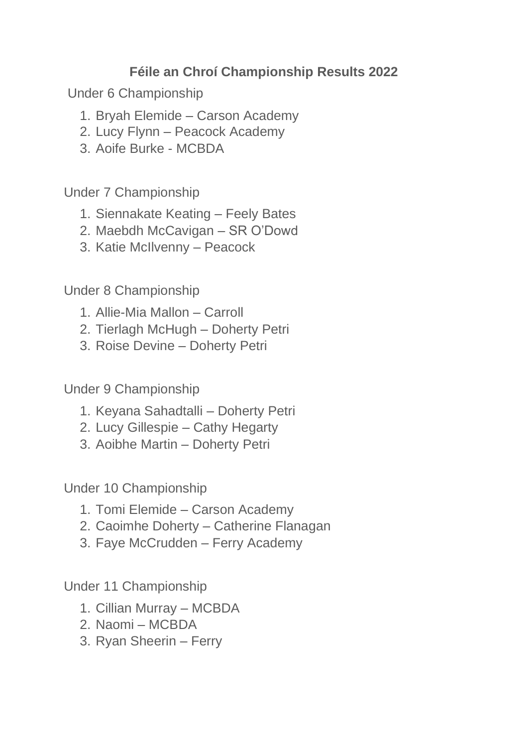## **Féile an Chroí Championship Results 2022**

Under 6 Championship

- 1. Bryah Elemide Carson Academy
- 2. Lucy Flynn Peacock Academy
- 3. Aoife Burke MCBDA

Under 7 Championship

- 1. Siennakate Keating Feely Bates
- 2. Maebdh McCavigan SR O'Dowd
- 3. Katie McIlvenny Peacock

Under 8 Championship

- 1. Allie-Mia Mallon Carroll
- 2. Tierlagh McHugh Doherty Petri
- 3. Roise Devine Doherty Petri

Under 9 Championship

- 1. Keyana Sahadtalli Doherty Petri
- 2. Lucy Gillespie Cathy Hegarty
- 3. Aoibhe Martin Doherty Petri

Under 10 Championship

- 1. Tomi Elemide Carson Academy
- 2. Caoimhe Doherty Catherine Flanagan
- 3. Faye McCrudden Ferry Academy

Under 11 Championship

- 1. Cillian Murray MCBDA
- 2. Naomi MCBDA
- 3. Ryan Sheerin Ferry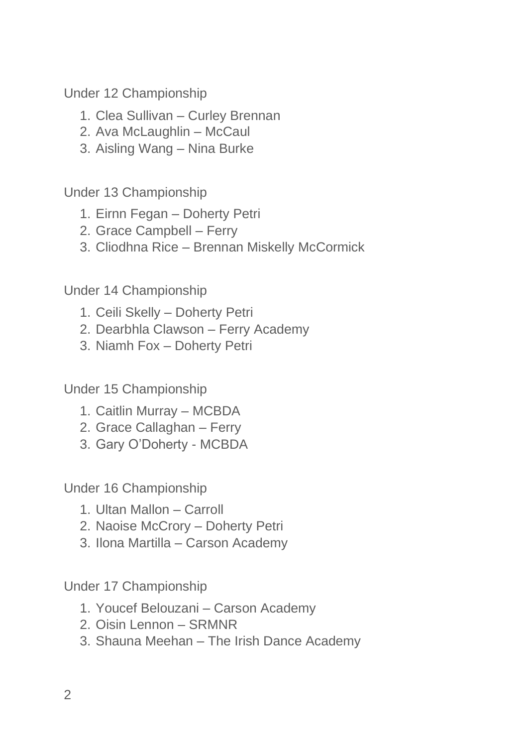Under 12 Championship

- 1. Clea Sullivan Curley Brennan
- 2. Ava McLaughlin McCaul
- 3. Aisling Wang Nina Burke

Under 13 Championship

- 1. Eirnn Fegan Doherty Petri
- 2. Grace Campbell Ferry
- 3. Cliodhna Rice Brennan Miskelly McCormick

Under 14 Championship

- 1. Ceili Skelly Doherty Petri
- 2. Dearbhla Clawson Ferry Academy
- 3. Niamh Fox Doherty Petri

Under 15 Championship

- 1. Caitlin Murray MCBDA
- 2. Grace Callaghan Ferry
- 3. Gary O'Doherty MCBDA

Under 16 Championship

- 1. Ultan Mallon Carroll
- 2. Naoise McCrory Doherty Petri
- 3. Ilona Martilla Carson Academy

Under 17 Championship

- 1. Youcef Belouzani Carson Academy
- 2. Oisin Lennon SRMNR
- 3. Shauna Meehan The Irish Dance Academy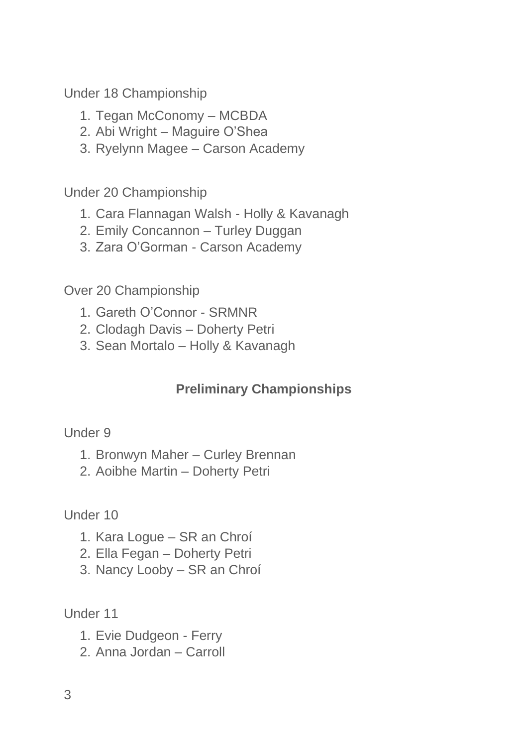Under 18 Championship

- 1. Tegan McConomy MCBDA
- 2. Abi Wright Maguire O'Shea
- 3. Ryelynn Magee Carson Academy

Under 20 Championship

- 1. Cara Flannagan Walsh Holly & Kavanagh
- 2. Emily Concannon Turley Duggan
- 3. Zara O'Gorman Carson Academy

Over 20 Championship

- 1. Gareth O'Connor SRMNR
- 2. Clodagh Davis Doherty Petri
- 3. Sean Mortalo Holly & Kavanagh

## **Preliminary Championships**

## Under 9

- 1. Bronwyn Maher Curley Brennan
- 2. Aoibhe Martin Doherty Petri

Under 10

- 1. Kara Logue SR an Chroí
- 2. Ella Fegan Doherty Petri
- 3. Nancy Looby SR an Chroí

Under 11

- 1. Evie Dudgeon Ferry
- 2. Anna Jordan Carroll